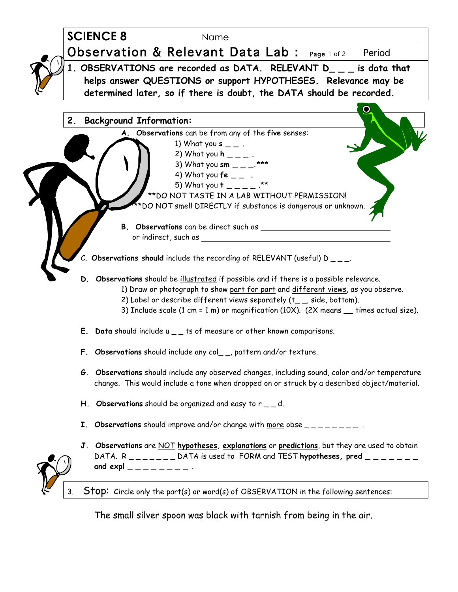

The small silver spoon was black with tarnish from being in the air.